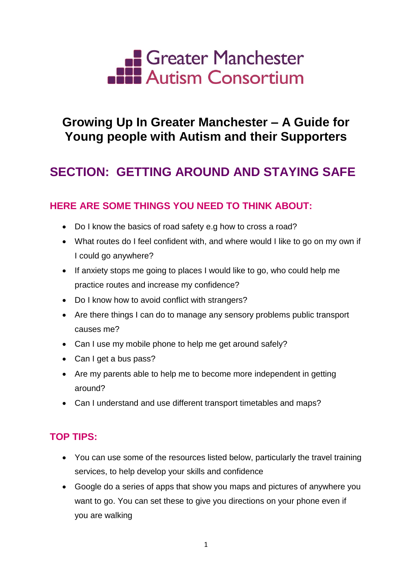

## **Growing Up In Greater Manchester – A Guide for Young people with Autism and their Supporters**

# **SECTION: GETTING AROUND AND STAYING SAFE**

### **HERE ARE SOME THINGS YOU NEED TO THINK ABOUT:**

- Do I know the basics of road safety e.g how to cross a road?
- What routes do I feel confident with, and where would I like to go on my own if I could go anywhere?
- If anxiety stops me going to places I would like to go, who could help me practice routes and increase my confidence?
- Do I know how to avoid conflict with strangers?
- Are there things I can do to manage any sensory problems public transport causes me?
- Can I use my mobile phone to help me get around safely?
- Can I get a bus pass?
- Are my parents able to help me to become more independent in getting around?
- Can I understand and use different transport timetables and maps?

### **TOP TIPS:**

- You can use some of the resources listed below, particularly the travel training services, to help develop your skills and confidence
- Google do a series of apps that show you maps and pictures of anywhere you want to go. You can set these to give you directions on your phone even if you are walking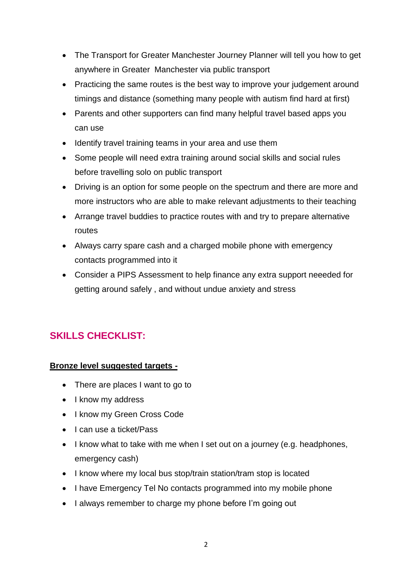- The Transport for Greater Manchester Journey Planner will tell you how to get anywhere in Greater Manchester via public transport
- Practicing the same routes is the best way to improve your judgement around timings and distance (something many people with autism find hard at first)
- Parents and other supporters can find many helpful travel based apps you can use
- Identify travel training teams in your area and use them
- Some people will need extra training around social skills and social rules before travelling solo on public transport
- Driving is an option for some people on the spectrum and there are more and more instructors who are able to make relevant adjustments to their teaching
- Arrange travel buddies to practice routes with and try to prepare alternative routes
- Always carry spare cash and a charged mobile phone with emergency contacts programmed into it
- Consider a PIPS Assessment to help finance any extra support neeeded for getting around safely , and without undue anxiety and stress

## **SKILLS CHECKLIST:**

#### **Bronze level suggested targets -**

- There are places I want to go to
- I know my address
- I know my Green Cross Code
- $\bullet$  I can use a ticket/Pass
- I know what to take with me when I set out on a journey (e.g. headphones, emergency cash)
- I know where my local bus stop/train station/tram stop is located
- I have Emergency Tel No contacts programmed into my mobile phone
- I always remember to charge my phone before I'm going out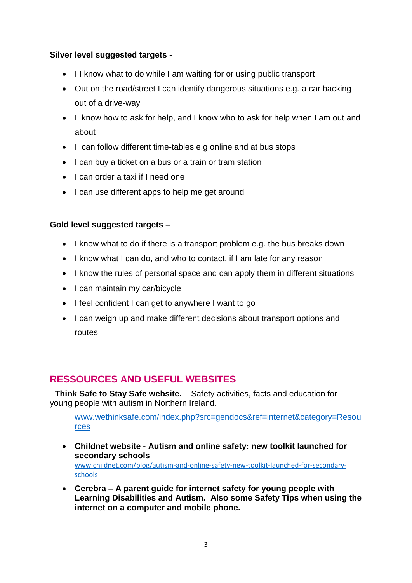#### **Silver level suggested targets -**

- I I know what to do while I am waiting for or using public transport
- Out on the road/street I can identify dangerous situations e.g. a car backing out of a drive-way
- I know how to ask for help, and I know who to ask for help when I am out and about
- I can follow different time-tables e.g online and at bus stops
- I can buy a ticket on a bus or a train or tram station
- I can order a taxi if I need one
- I can use different apps to help me get around

#### **Gold level suggested targets –**

- I know what to do if there is a transport problem e.g. the bus breaks down
- I know what I can do, and who to contact, if I am late for any reason
- I know the rules of personal space and can apply them in different situations
- I can maintain my car/bicycle
- I feel confident I can get to anywhere I want to go
- I can weigh up and make different decisions about transport options and routes

### **RESSOURCES AND USEFUL WEBSITES**

**Think Safe to Stay Safe website.** Safety activities, facts and education for young people with autism in Northern Ireland.

[www.wethinksafe.com/index.php?src=gendocs&ref=internet&category=Resou](http://www.wethinksafe.com/index.php?src=gendocs&ref=internet&category=Resources) [rces](http://www.wethinksafe.com/index.php?src=gendocs&ref=internet&category=Resources)

 **Childnet website - Autism and online safety: new toolkit launched for secondary schools**

[www.childnet.com/blog/autism-and-online-safety-new-toolkit-launched-for-secondary](http://www.childnet.com/blog/autism-and-online-safety-new-toolkit-launched-for-secondary-schools)[schools](http://www.childnet.com/blog/autism-and-online-safety-new-toolkit-launched-for-secondary-schools)

 **Cerebra – A parent guide for internet safety for young people with Learning Disabilities and Autism. Also some Safety Tips when using the internet on a computer and mobile phone.**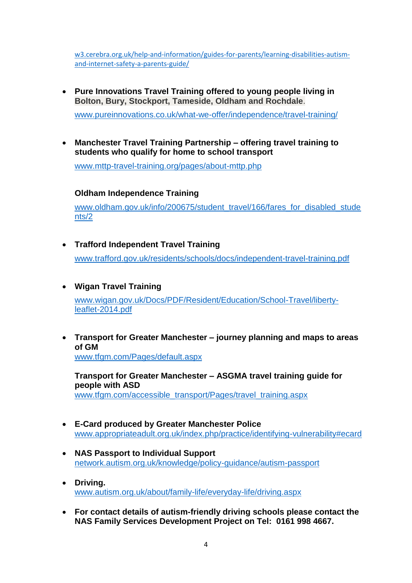[w3.cerebra.org.uk/help-and-information/guides-for-parents/learning-disabilities-autism](http://w3.cerebra.org.uk/help-and-information/guides-for-parents/learning-disabilities-autism-and-internet-safety-a-parents-guide/)[and-internet-safety-a-parents-guide/](http://w3.cerebra.org.uk/help-and-information/guides-for-parents/learning-disabilities-autism-and-internet-safety-a-parents-guide/)

 **Pure Innovations Travel Training offered to young people living in Bolton, Bury, Stockport, Tameside, Oldham and Rochdale**.

[www.pureinnovations.co.uk/what-we-offer/independence/travel-training/](http://www.pureinnovations.co.uk/what-we-offer/independence/travel-training/)

 **Manchester Travel Training Partnership – offering travel training to students who qualify for home to school transport**

[www.mttp-travel-training.org/pages/about-mttp.php](http://www.mttp-travel-training.org/pages/about-mttp.php)

#### **Oldham Independence Training**

[www.oldham.gov.uk/info/200675/student\\_travel/166/fares\\_for\\_disabled\\_stude](http://www.oldham.gov.uk/info/200675/student_travel/166/fares_for_disabled_students/2) [nts/2](http://www.oldham.gov.uk/info/200675/student_travel/166/fares_for_disabled_students/2)

- **Trafford Independent Travel Training** [www.trafford.gov.uk/residents/schools/docs/independent-travel-training.pdf](http://www.trafford.gov.uk/residents/schools/docs/independent-travel-training.pdf)
- **Wigan Travel Training**  [www.wigan.gov.uk/Docs/PDF/Resident/Education/School-Travel/liberty](http://www.wigan.gov.uk/Docs/PDF/Resident/Education/School-Travel/liberty-leaflet-2014.pdf)[leaflet-2014.pdf](http://www.wigan.gov.uk/Docs/PDF/Resident/Education/School-Travel/liberty-leaflet-2014.pdf)
- **Transport for Greater Manchester – journey planning and maps to areas of GM** [www.tfgm.com/Pages/default.aspx](http://www.tfgm.com/Pages/default.aspx)

**Transport for Greater Manchester – ASGMA travel training guide for people with ASD** [www.tfgm.com/accessible\\_transport/Pages/travel\\_training.aspx](http://www.tfgm.com/accessible_transport/Pages/travel_training.aspx)

- **E-Card produced by Greater Manchester Police** [www.appropriateadult.org.uk/index.php/practice/identifying-vulnerability#ecard](http://www.appropriateadult.org.uk/index.php/practice/identifying-vulnerability#ecard)
- **NAS Passport to Individual Support** [network.autism.org.uk/knowledge/policy-guidance/autism-passport](http://network.autism.org.uk/knowledge/policy-guidance/autism-passport)
- **Driving.**  [www.autism.org.uk/about/family-life/everyday-life/driving.aspx](http://www.autism.org.uk/about/family-life/everyday-life/driving.aspx)
- **For contact details of autism-friendly driving schools please contact the NAS Family Services Development Project on Tel: 0161 998 4667.**